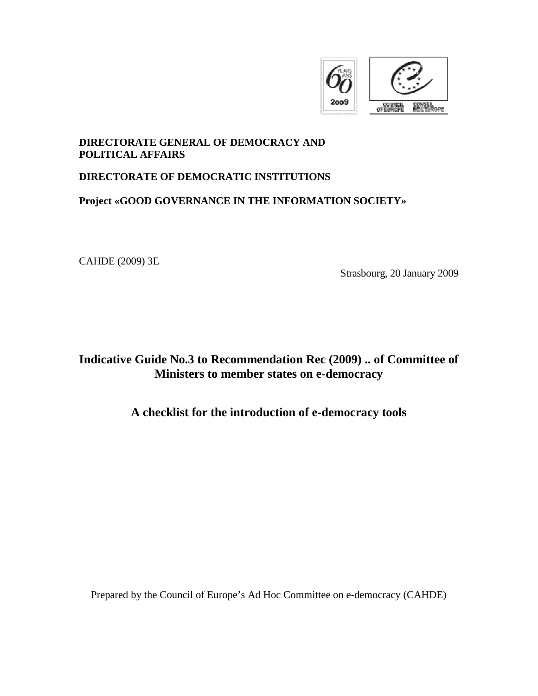

## **DIRECTORATE GENERAL OF DEMOCRACY AND POLITICAL AFFAIRS**

## **DIRECTORATE OF DEMOCRATIC INSTITUTIONS**

## **Project «GOOD GOVERNANCE IN THE INFORMATION SOCIETY»**

CAHDE (2009) 3E

Strasbourg, 20 January 2009

# **Indicative Guide No.3 to Recommendation Rec (2009) .. of Committee of Ministers to member states on e-democracy**

## **A checklist for the introduction of e-democracy tools**

Prepared by the Council of Europe's Ad Hoc Committee on e-democracy (CAHDE)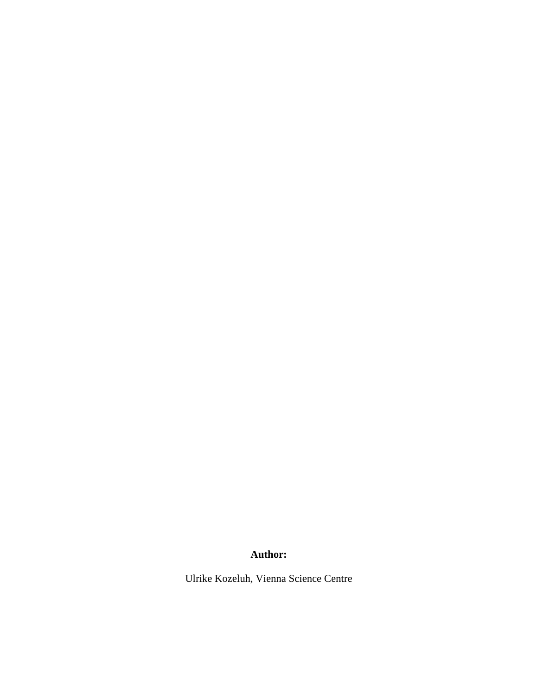## **Author:**

Ulrike Kozeluh, Vienna Science Centre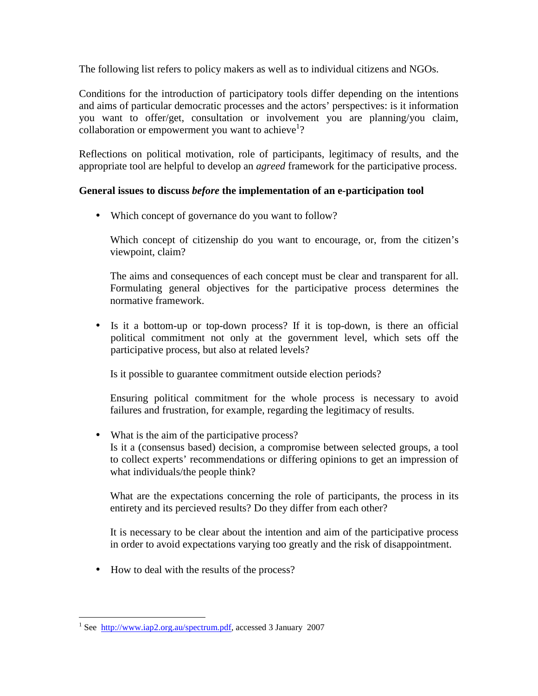The following list refers to policy makers as well as to individual citizens and NGOs.

Conditions for the introduction of participatory tools differ depending on the intentions and aims of particular democratic processes and the actors' perspectives: is it information you want to offer/get, consultation or involvement you are planning/you claim, collaboration or empowerment you want to achieve<sup>1</sup>?

Reflections on political motivation, role of participants, legitimacy of results, and the appropriate tool are helpful to develop an *agreed* framework for the participative process.

#### **General issues to discuss** *before* **the implementation of an e-participation tool**

• Which concept of governance do you want to follow?

Which concept of citizenship do you want to encourage, or, from the citizen's viewpoint, claim?

The aims and consequences of each concept must be clear and transparent for all. Formulating general objectives for the participative process determines the normative framework.

• Is it a bottom-up or top-down process? If it is top-down, is there an official political commitment not only at the government level, which sets off the participative process, but also at related levels?

Is it possible to guarantee commitment outside election periods?

Ensuring political commitment for the whole process is necessary to avoid failures and frustration, for example, regarding the legitimacy of results.

• What is the aim of the participative process? Is it a (consensus based) decision, a compromise between selected groups, a tool to collect experts' recommendations or differing opinions to get an impression of what individuals/the people think?

What are the expectations concerning the role of participants, the process in its entirety and its percieved results? Do they differ from each other?

It is necessary to be clear about the intention and aim of the participative process in order to avoid expectations varying too greatly and the risk of disappointment.

• How to deal with the results of the process?

 $\overline{a}$ <sup>1</sup> See http://www.iap2.org.au/spectrum.pdf, accessed 3 January 2007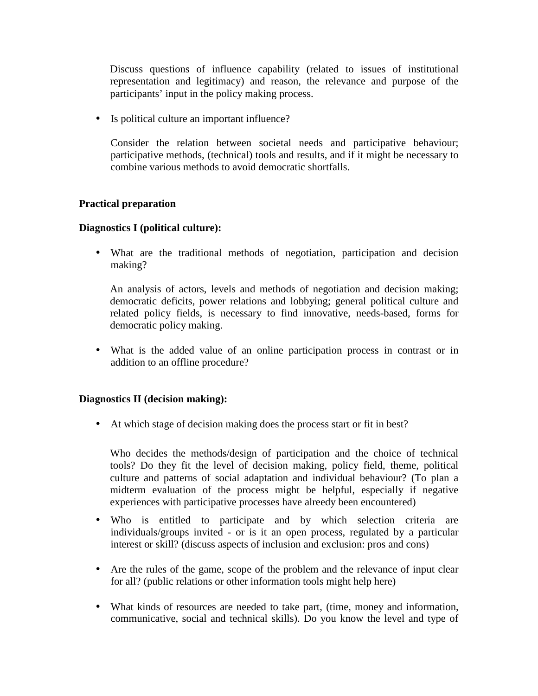Discuss questions of influence capability (related to issues of institutional representation and legitimacy) and reason, the relevance and purpose of the participants' input in the policy making process.

• Is political culture an important influence?

Consider the relation between societal needs and participative behaviour; participative methods, (technical) tools and results, and if it might be necessary to combine various methods to avoid democratic shortfalls.

#### **Practical preparation**

#### **Diagnostics I (political culture):**

• What are the traditional methods of negotiation, participation and decision making?

An analysis of actors, levels and methods of negotiation and decision making; democratic deficits, power relations and lobbying; general political culture and related policy fields, is necessary to find innovative, needs-based, forms for democratic policy making.

• What is the added value of an online participation process in contrast or in addition to an offline procedure?

#### **Diagnostics II (decision making):**

• At which stage of decision making does the process start or fit in best?

Who decides the methods/design of participation and the choice of technical tools? Do they fit the level of decision making, policy field, theme, political culture and patterns of social adaptation and individual behaviour? (To plan a midterm evaluation of the process might be helpful, especially if negative experiences with participative processes have alreedy been encountered)

- Who is entitled to participate and by which selection criteria are individuals/groups invited - or is it an open process, regulated by a particular interest or skill? (discuss aspects of inclusion and exclusion: pros and cons)
- Are the rules of the game, scope of the problem and the relevance of input clear for all? (public relations or other information tools might help here)
- What kinds of resources are needed to take part, (time, money and information, communicative, social and technical skills). Do you know the level and type of